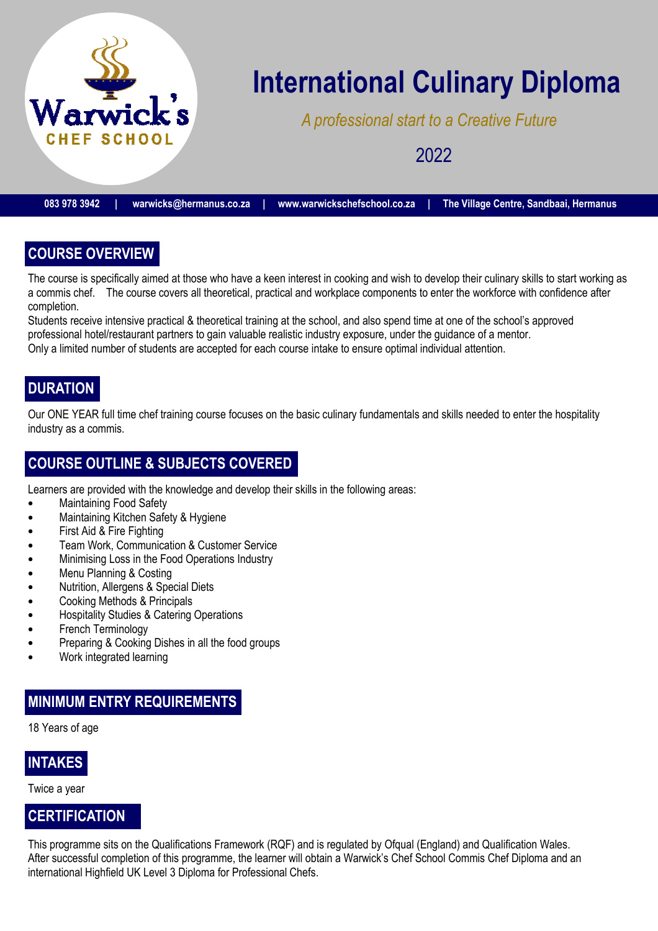

# **International Culinary Diploma**

*A professional start to a Creative Future* 

2022

**083 978 3942 | warwicks@hermanus.co.za | www.warwickschefschool.co.za | The Village Centre, Sandbaai, Hermanus** 

# **COURSE OVERVIEW**

The course is specifically aimed at those who have a keen interest in cooking and wish to develop their culinary skills to start working as a commis chef. The course covers all theoretical, practical and workplace components to enter the workforce with confidence after completion.

Students receive intensive practical & theoretical training at the school, and also spend time at one of the school's approved professional hotel/restaurant partners to gain valuable realistic industry exposure, under the guidance of a mentor. Only a limited number of students are accepted for each course intake to ensure optimal individual attention.

# **DURATION**

Our ONE YEAR full time chef training course focuses on the basic culinary fundamentals and skills needed to enter the hospitality industry as a commis.

### **COURSE OUTLINE & SUBJECTS COVERED**

Learners are provided with the knowledge and develop their skills in the following areas:

- Maintaining Food Safety
- Maintaining Kitchen Safety & Hygiene
- First Aid & Fire Fighting
- Team Work, Communication & Customer Service
- Minimising Loss in the Food Operations Industry
- Menu Planning & Costing
- Nutrition, Allergens & Special Diets
- Cooking Methods & Principals
- Hospitality Studies & Catering Operations
- French Terminology
- Preparing & Cooking Dishes in all the food groups
- Work integrated learning

#### **MINIMUM ENTRY REQUIREMENTS**

18 Years of age

#### **INTAKES**

Twice a year

#### **CERTIFICATION**

This programme sits on the Qualifications Framework (RQF) and is regulated by Ofqual (England) and Qualification Wales. After successful completion of this programme, the learner will obtain a Warwick's Chef School Commis Chef Diploma and an international Highfield UK Level 3 Diploma for Professional Chefs.